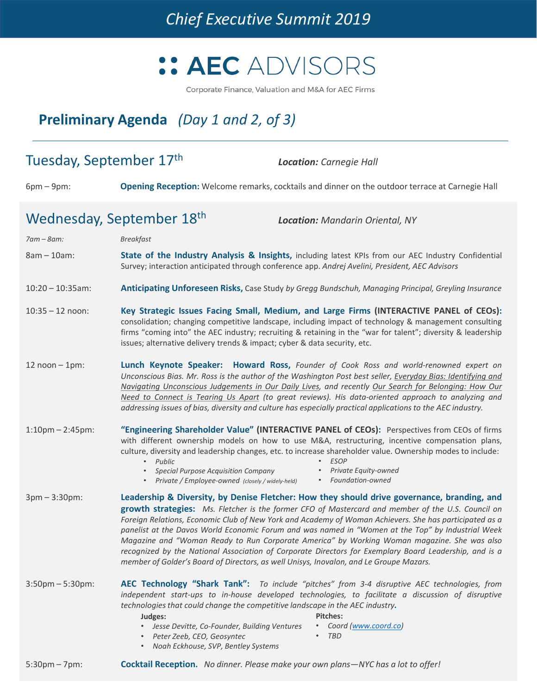

Corporate Finance, Valuation and M&A for AEC Firms

# **Preliminary Agenda** *(Day 1 and 2, of 3)*

| Tuesday, September 17th                                             |                                                                                                                                                                                                                                                                                                                                                                                                                                                                                                                                    | <b>Location:</b> Carnegie Hall                                                                                                                                                                                                                                                                                                                                                                                                                                                                                                                                                                                           |
|---------------------------------------------------------------------|------------------------------------------------------------------------------------------------------------------------------------------------------------------------------------------------------------------------------------------------------------------------------------------------------------------------------------------------------------------------------------------------------------------------------------------------------------------------------------------------------------------------------------|--------------------------------------------------------------------------------------------------------------------------------------------------------------------------------------------------------------------------------------------------------------------------------------------------------------------------------------------------------------------------------------------------------------------------------------------------------------------------------------------------------------------------------------------------------------------------------------------------------------------------|
| $6pm-9pm:$                                                          |                                                                                                                                                                                                                                                                                                                                                                                                                                                                                                                                    | Opening Reception: Welcome remarks, cocktails and dinner on the outdoor terrace at Carnegie Hall                                                                                                                                                                                                                                                                                                                                                                                                                                                                                                                         |
| Wednesday, September 18th<br><b>Location: Mandarin Oriental, NY</b> |                                                                                                                                                                                                                                                                                                                                                                                                                                                                                                                                    |                                                                                                                                                                                                                                                                                                                                                                                                                                                                                                                                                                                                                          |
| $7am - 8am$ :                                                       | <b>Breakfast</b>                                                                                                                                                                                                                                                                                                                                                                                                                                                                                                                   |                                                                                                                                                                                                                                                                                                                                                                                                                                                                                                                                                                                                                          |
| $8am - 10am$ :                                                      |                                                                                                                                                                                                                                                                                                                                                                                                                                                                                                                                    | State of the Industry Analysis & Insights, including latest KPIs from our AEC Industry Confidential<br>Survey; interaction anticipated through conference app. Andrej Avelini, President, AEC Advisors                                                                                                                                                                                                                                                                                                                                                                                                                   |
| $10:20 - 10:35$ am:                                                 | Anticipating Unforeseen Risks, Case Study by Gregg Bundschuh, Managing Principal, Greyling Insurance                                                                                                                                                                                                                                                                                                                                                                                                                               |                                                                                                                                                                                                                                                                                                                                                                                                                                                                                                                                                                                                                          |
| $10:35 - 12$ noon:                                                  | Key Strategic Issues Facing Small, Medium, and Large Firms (INTERACTIVE PANEL of CEOs):<br>consolidation; changing competitive landscape, including impact of technology & management consulting<br>firms "coming into" the AEC industry; recruiting & retaining in the "war for talent"; diversity & leadership<br>issues; alternative delivery trends & impact; cyber & data security, etc.                                                                                                                                      |                                                                                                                                                                                                                                                                                                                                                                                                                                                                                                                                                                                                                          |
| $12$ noon $-1$ pm:                                                  | Lunch Keynote Speaker: Howard Ross, Founder of Cook Ross and world-renowned expert on<br>Unconscious Bias. Mr. Ross is the author of the Washington Post best seller, Everyday Bias: Identifying and<br>Navigating Unconscious Judgements in Our Daily Lives, and recently Our Search for Belonging: How Our<br>Need to Connect is Tearing Us Apart (to great reviews). His data-oriented approach to analyzing and<br>addressing issues of bias, diversity and culture has especially practical applications to the AEC industry. |                                                                                                                                                                                                                                                                                                                                                                                                                                                                                                                                                                                                                          |
| $1:10$ pm $- 2:45$ pm:                                              | Public<br>$\bullet$<br><b>Special Purpose Acquisition Company</b><br>Private / Employee-owned (closely / widely-held)                                                                                                                                                                                                                                                                                                                                                                                                              | "Engineering Shareholder Value" (INTERACTIVE PANEL of CEOs): Perspectives from CEOs of firms<br>with different ownership models on how to use M&A, restructuring, incentive compensation plans,<br>culture, diversity and leadership changes, etc. to increase shareholder value. Ownership modes to include:<br><b>ESOP</b><br>Private Equity-owned<br>• Foundation-owned                                                                                                                                                                                                                                               |
| $3pm - 3:30pm:$                                                     | member of Golder's Board of Directors, as well Unisys, Inovalon, and Le Groupe Mazars.                                                                                                                                                                                                                                                                                                                                                                                                                                             | Leadership & Diversity, by Denise Fletcher: How they should drive governance, branding, and<br>growth strategies: Ms. Fletcher is the former CFO of Mastercard and member of the U.S. Council on<br>Foreign Relations, Economic Club of New York and Academy of Woman Achievers. She has participated as a<br>panelist at the Davos World Economic Forum and was named in "Women at the Top" by Industrial Week<br>Magazine and "Woman Ready to Run Corporate America" by Working Woman magazine. She was also<br>recognized by the National Association of Corporate Directors for Exemplary Board Leadership, and is a |
| $3:50$ pm $-5:30$ pm:                                               | technologies that could change the competitive landscape in the AEC industry.<br>Judges:<br>Jesse Devitte, Co-Founder, Building Ventures<br>Peter Zeeb, CEO, Geosyntec<br>Noah Eckhouse, SVP, Bentley Systems<br>$\bullet$                                                                                                                                                                                                                                                                                                         | AEC Technology "Shark Tank": To include "pitches" from 3-4 disruptive AEC technologies, from<br>independent start-ups to in-house developed technologies, to facilitate a discussion of disruptive<br><b>Pitches:</b><br>Coord (www.coord.co)<br><b>TBD</b>                                                                                                                                                                                                                                                                                                                                                              |
| $5:30$ pm – 7pm:                                                    | Cocktail Reception. No dinner. Please make your own plans-NYC has a lot to offer!                                                                                                                                                                                                                                                                                                                                                                                                                                                  |                                                                                                                                                                                                                                                                                                                                                                                                                                                                                                                                                                                                                          |